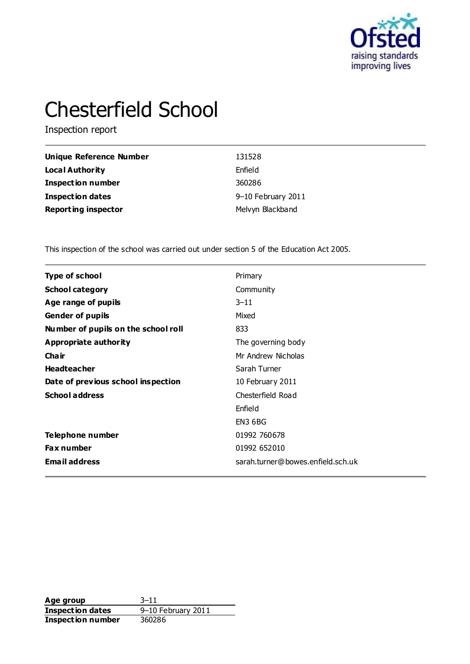

# Chesterfield School

Inspection report

| Unique Reference Number    | 131528             |
|----------------------------|--------------------|
| Local Authority            | Enfield            |
| <b>Inspection number</b>   | 360286             |
| Inspection dates           | 9-10 February 2011 |
| <b>Reporting inspector</b> | Melvyn Blackband   |

This inspection of the school was carried out under section 5 of the Education Act 2005.

| Type of school                      | Primary                           |
|-------------------------------------|-----------------------------------|
| <b>School category</b>              | Community                         |
| Age range of pupils                 | $3 - 11$                          |
| <b>Gender of pupils</b>             | Mixed                             |
| Number of pupils on the school roll | 833                               |
| Appropriate authority               | The governing body                |
| Cha ir                              | Mr Andrew Nicholas                |
| <b>Headteacher</b>                  | Sarah Turner                      |
| Date of previous school inspection  | 10 February 2011                  |
| <b>School address</b>               | Chesterfield Road                 |
|                                     | Enfield                           |
|                                     | EN3 6BG                           |
| Telephone number                    | 01992 760678                      |
| <b>Fax number</b>                   | 01992 652010                      |
| <b>Email address</b>                | sarah.turner@bowes.enfield.sch.uk |
|                                     |                                   |

**Age group** 3-11<br> **Inspection dates** 9-10 February 2011 **Inspection dates** 9–10 February 2011 **Inspection number** 360286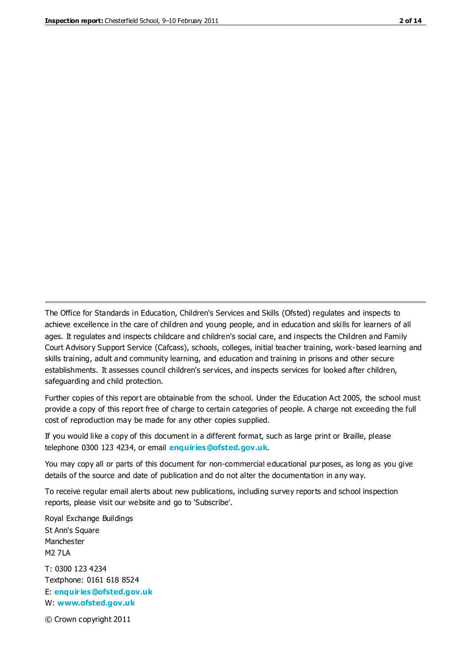The Office for Standards in Education, Children's Services and Skills (Ofsted) regulates and inspects to achieve excellence in the care of children and young people, and in education and skills for learners of all ages. It regulates and inspects childcare and children's social care, and inspects the Children and Family Court Advisory Support Service (Cafcass), schools, colleges, initial teacher training, work-based learning and skills training, adult and community learning, and education and training in prisons and other secure establishments. It assesses council children's services, and inspects services for looked after children, safeguarding and child protection.

Further copies of this report are obtainable from the school. Under the Education Act 2005, the school must provide a copy of this report free of charge to certain categories of people. A charge not exceeding the full cost of reproduction may be made for any other copies supplied.

If you would like a copy of this document in a different format, such as large print or Braille, please telephone 0300 123 4234, or email **[enquiries@ofsted.gov.uk](mailto:enquiries@ofsted.gov.uk)**.

You may copy all or parts of this document for non-commercial educational purposes, as long as you give details of the source and date of publication and do not alter the documentation in any way.

To receive regular email alerts about new publications, including survey reports and school inspection reports, please visit our website and go to 'Subscribe'.

Royal Exchange Buildings St Ann's Square Manchester M2 7LA T: 0300 123 4234 Textphone: 0161 618 8524 E: **[enquiries@ofsted.gov.uk](mailto:enquiries@ofsted.gov.uk)**

W: **[www.ofsted.gov.uk](http://www.ofsted.gov.uk/)**

© Crown copyright 2011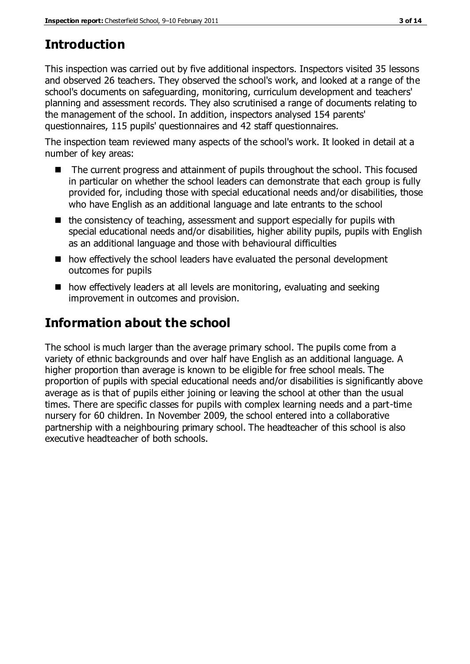# **Introduction**

This inspection was carried out by five additional inspectors. Inspectors visited 35 lessons and observed 26 teachers. They observed the school's work, and looked at a range of the school's documents on safeguarding, monitoring, curriculum development and teachers' planning and assessment records. They also scrutinised a range of documents relating to the management of the school. In addition, inspectors analysed 154 parents' questionnaires, 115 pupils' questionnaires and 42 staff questionnaires.

The inspection team reviewed many aspects of the school's work. It looked in detail at a number of key areas:

- The current progress and attainment of pupils throughout the school. This focused in particular on whether the school leaders can demonstrate that each group is fully provided for, including those with special educational needs and/or disabilities, those who have English as an additional language and late entrants to the school
- $\blacksquare$  the consistency of teaching, assessment and support especially for pupils with special educational needs and/or disabilities, higher ability pupils, pupils with English as an additional language and those with behavioural difficulties
- how effectively the school leaders have evaluated the personal development outcomes for pupils
- how effectively leaders at all levels are monitoring, evaluating and seeking improvement in outcomes and provision.

# **Information about the school**

The school is much larger than the average primary school. The pupils come from a variety of ethnic backgrounds and over half have English as an additional language. A higher proportion than average is known to be eligible for free school meals. The proportion of pupils with special educational needs and/or disabilities is significantly above average as is that of pupils either joining or leaving the school at other than the usual times. There are specific classes for pupils with complex learning needs and a part-time nursery for 60 children. In November 2009, the school entered into a collaborative partnership with a neighbouring primary school. The headteacher of this school is also executive headteacher of both schools.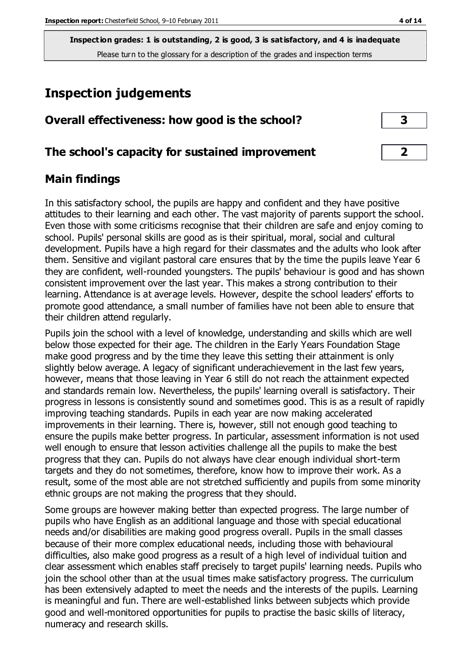# **Inspection judgements**

| Overall effectiveness: how good is the school? |  |
|------------------------------------------------|--|
|------------------------------------------------|--|

## **The school's capacity for sustained improvement 2**

## **Main findings**

In this satisfactory school, the pupils are happy and confident and they have positive attitudes to their learning and each other. The vast majority of parents support the school. Even those with some criticisms recognise that their children are safe and enjoy coming to school. Pupils' personal skills are good as is their spiritual, moral, social and cultural development. Pupils have a high regard for their classmates and the adults who look after them. Sensitive and vigilant pastoral care ensures that by the time the pupils leave Year 6 they are confident, well-rounded youngsters. The pupils' behaviour is good and has shown consistent improvement over the last year. This makes a strong contribution to their learning. Attendance is at average levels. However, despite the school leaders' efforts to promote good attendance, a small number of families have not been able to ensure that their children attend regularly.

Pupils join the school with a level of knowledge, understanding and skills which are well below those expected for their age. The children in the Early Years Foundation Stage make good progress and by the time they leave this setting their attainment is only slightly below average. A legacy of significant underachievement in the last few years, however, means that those leaving in Year 6 still do not reach the attainment expected and standards remain low. Nevertheless, the pupils' learning overall is satisfactory. Their progress in lessons is consistently sound and sometimes good. This is as a result of rapidly improving teaching standards. Pupils in each year are now making accelerated improvements in their learning. There is, however, still not enough good teaching to ensure the pupils make better progress. In particular, assessment information is not used well enough to ensure that lesson activities challenge all the pupils to make the best progress that they can. Pupils do not always have clear enough individual short-term targets and they do not sometimes, therefore, know how to improve their work. As a result, some of the most able are not stretched sufficiently and pupils from some minority ethnic groups are not making the progress that they should.

Some groups are however making better than expected progress. The large number of pupils who have English as an additional language and those with special educational needs and/or disabilities are making good progress overall. Pupils in the small classes because of their more complex educational needs, including those with behavioural difficulties, also make good progress as a result of a high level of individual tuition and clear assessment which enables staff precisely to target pupils' learning needs. Pupils who join the school other than at the usual times make satisfactory progress. The curriculum has been extensively adapted to meet the needs and the interests of the pupils. Learning is meaningful and fun. There are well-established links between subjects which provide good and well-monitored opportunities for pupils to practise the basic skills of literacy, numeracy and research skills.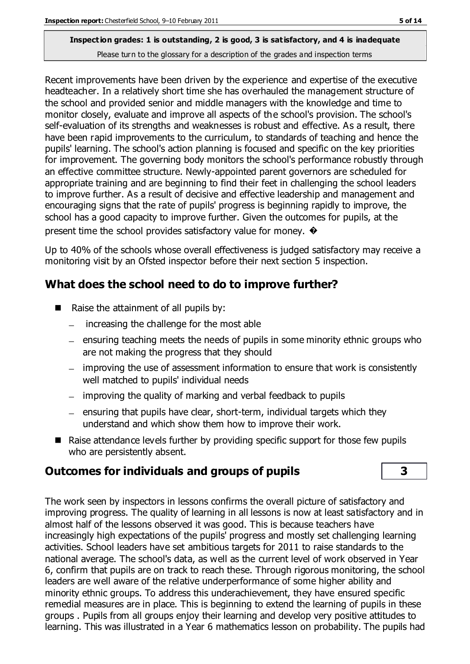Recent improvements have been driven by the experience and expertise of the executive headteacher. In a relatively short time she has overhauled the management structure of the school and provided senior and middle managers with the knowledge and time to monitor closely, evaluate and improve all aspects of the school's provision. The school's self-evaluation of its strengths and weaknesses is robust and effective. As a result, there have been rapid improvements to the curriculum, to standards of teaching and hence the pupils' learning. The school's action planning is focused and specific on the key priorities for improvement. The governing body monitors the school's performance robustly through an effective committee structure. Newly-appointed parent governors are scheduled for appropriate training and are beginning to find their feet in challenging the school leaders to improve further. As a result of decisive and effective leadership and management and encouraging signs that the rate of pupils' progress is beginning rapidly to improve, the school has a good capacity to improve further. Given the outcomes for pupils, at the present time the school provides satisfactory value for money.  $\rightarrow$ 

Up to 40% of the schools whose overall effectiveness is judged satisfactory may receive a monitoring visit by an Ofsted inspector before their next section 5 inspection.

# **What does the school need to do to improve further?**

- Raise the attainment of all pupils by:
	- increasing the challenge for the most able  $\equiv$
	- ensuring teaching meets the needs of pupils in some minority ethnic groups who are not making the progress that they should
	- improving the use of assessment information to ensure that work is consistently well matched to pupils' individual needs
	- improving the quality of marking and verbal feedback to pupils
	- $=$  ensuring that pupils have clear, short-term, individual targets which they understand and which show them how to improve their work.
- Raise attendance levels further by providing specific support for those few pupils who are persistently absent.

# **Outcomes for individuals and groups of pupils 3**

The work seen by inspectors in lessons confirms the overall picture of satisfactory and improving progress. The quality of learning in all lessons is now at least satisfactory and in almost half of the lessons observed it was good. This is because teachers have increasingly high expectations of the pupils' progress and mostly set challenging learning activities. School leaders have set ambitious targets for 2011 to raise standards to the national average. The school's data, as well as the current level of work observed in Year 6, confirm that pupils are on track to reach these. Through rigorous monitoring, the school leaders are well aware of the relative underperformance of some higher ability and minority ethnic groups. To address this underachievement, they have ensured specific remedial measures are in place. This is beginning to extend the learning of pupils in these groups . Pupils from all groups enjoy their learning and develop very positive attitudes to learning. This was illustrated in a Year 6 mathematics lesson on probability. The pupils had

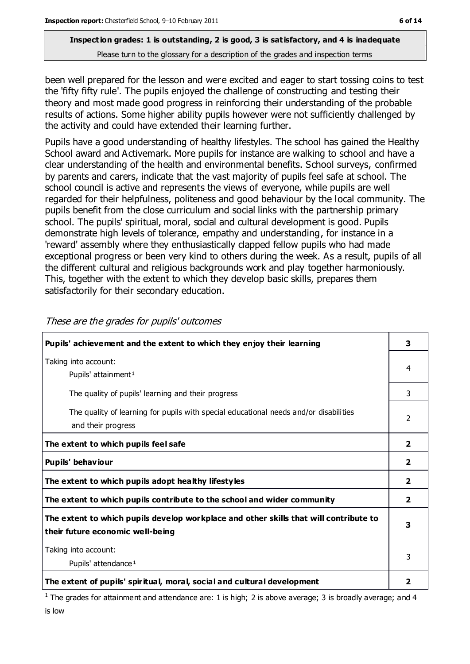been well prepared for the lesson and were excited and eager to start tossing coins to test the 'fifty fifty rule'. The pupils enjoyed the challenge of constructing and testing their theory and most made good progress in reinforcing their understanding of the probable results of actions. Some higher ability pupils however were not sufficiently challenged by the activity and could have extended their learning further.

Pupils have a good understanding of healthy lifestyles. The school has gained the Healthy School award and Activemark. More pupils for instance are walking to school and have a clear understanding of the health and environmental benefits. School surveys, confirmed by parents and carers, indicate that the vast majority of pupils feel safe at school. The school council is active and represents the views of everyone, while pupils are well regarded for their helpfulness, politeness and good behaviour by the local community. The pupils benefit from the close curriculum and social links with the partnership primary school. The pupils' spiritual, moral, social and cultural development is good. Pupils demonstrate high levels of tolerance, empathy and understanding, for instance in a 'reward' assembly where they enthusiastically clapped fellow pupils who had made exceptional progress or been very kind to others during the week. As a result, pupils of all the different cultural and religious backgrounds work and play together harmoniously. This, together with the extent to which they develop basic skills, prepares them satisfactorily for their secondary education.

| Pupils' achievement and the extent to which they enjoy their learning                                                     |                         |
|---------------------------------------------------------------------------------------------------------------------------|-------------------------|
| Taking into account:<br>Pupils' attainment <sup>1</sup>                                                                   | 4                       |
| The quality of pupils' learning and their progress                                                                        | 3                       |
| The quality of learning for pupils with special educational needs and/or disabilities<br>and their progress               | $\overline{2}$          |
| The extent to which pupils feel safe                                                                                      | $\overline{2}$          |
| Pupils' behaviour                                                                                                         | $\overline{\mathbf{2}}$ |
| The extent to which pupils adopt healthy lifestyles                                                                       | $\overline{\mathbf{2}}$ |
| The extent to which pupils contribute to the school and wider community                                                   | $\overline{\mathbf{2}}$ |
| The extent to which pupils develop workplace and other skills that will contribute to<br>their future economic well-being |                         |
| Taking into account:<br>Pupils' attendance <sup>1</sup>                                                                   | 3                       |
| The extent of pupils' spiritual, moral, social and cultural development                                                   |                         |

These are the grades for pupils' outcomes

<sup>1</sup> The grades for attainment and attendance are: 1 is high; 2 is above average; 3 is broadly average; and 4 is low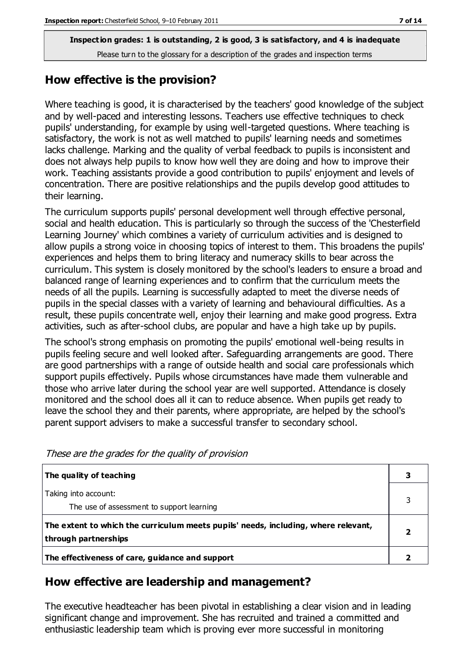#### **How effective is the provision?**

Where teaching is good, it is characterised by the teachers' good knowledge of the subject and by well-paced and interesting lessons. Teachers use effective techniques to check pupils' understanding, for example by using well-targeted questions. Where teaching is satisfactory, the work is not as well matched to pupils' learning needs and sometimes lacks challenge. Marking and the quality of verbal feedback to pupils is inconsistent and does not always help pupils to know how well they are doing and how to improve their work. Teaching assistants provide a good contribution to pupils' enjoyment and levels of concentration. There are positive relationships and the pupils develop good attitudes to their learning.

The curriculum supports pupils' personal development well through effective personal, social and health education. This is particularly so through the success of the 'Chesterfield Learning Journey' which combines a variety of curriculum activities and is designed to allow pupils a strong voice in choosing topics of interest to them. This broadens the pupils' experiences and helps them to bring literacy and numeracy skills to bear across the curriculum. This system is closely monitored by the school's leaders to ensure a broad and balanced range of learning experiences and to confirm that the curriculum meets the needs of all the pupils. Learning is successfully adapted to meet the diverse needs of pupils in the special classes with a variety of learning and behavioural difficulties. As a result, these pupils concentrate well, enjoy their learning and make good progress. Extra activities, such as after-school clubs, are popular and have a high take up by pupils.

The school's strong emphasis on promoting the pupils' emotional well-being results in pupils feeling secure and well looked after. Safeguarding arrangements are good. There are good partnerships with a range of outside health and social care professionals which support pupils effectively. Pupils whose circumstances have made them vulnerable and those who arrive later during the school year are well supported. Attendance is closely monitored and the school does all it can to reduce absence. When pupils get ready to leave the school they and their parents, where appropriate, are helped by the school's parent support advisers to make a successful transfer to secondary school.

| The quality of teaching                                                                                    |  |
|------------------------------------------------------------------------------------------------------------|--|
| Taking into account:<br>The use of assessment to support learning                                          |  |
| The extent to which the curriculum meets pupils' needs, including, where relevant,<br>through partnerships |  |
| The effectiveness of care, guidance and support                                                            |  |

These are the grades for the quality of provision

#### **How effective are leadership and management?**

The executive headteacher has been pivotal in establishing a clear vision and in leading significant change and improvement. She has recruited and trained a committed and enthusiastic leadership team which is proving ever more successful in monitoring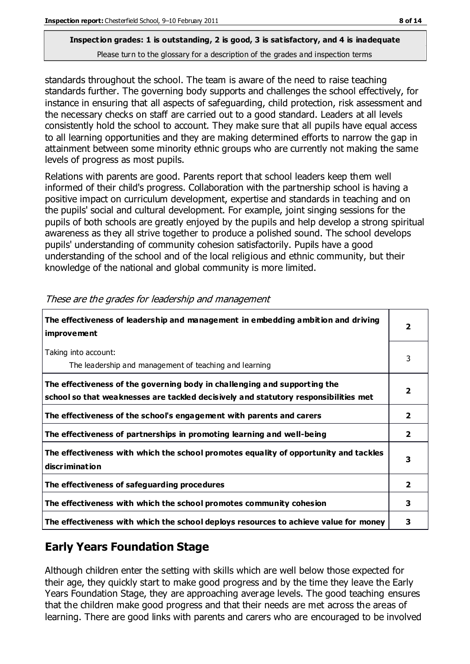standards throughout the school. The team is aware of the need to raise teaching standards further. The governing body supports and challenges the school effectively, for instance in ensuring that all aspects of safeguarding, child protection, risk assessment and the necessary checks on staff are carried out to a good standard. Leaders at all levels consistently hold the school to account. They make sure that all pupils have equal access to all learning opportunities and they are making determined efforts to narrow the gap in attainment between some minority ethnic groups who are currently not making the same levels of progress as most pupils.

Relations with parents are good. Parents report that school leaders keep them well informed of their child's progress. Collaboration with the partnership school is having a positive impact on curriculum development, expertise and standards in teaching and on the pupils' social and cultural development. For example, joint singing sessions for the pupils of both schools are greatly enjoyed by the pupils and help develop a strong spiritual awareness as they all strive together to produce a polished sound. The school develops pupils' understanding of community cohesion satisfactorily. Pupils have a good understanding of the school and of the local religious and ethnic community, but their knowledge of the national and global community is more limited.

| The effectiveness of leadership and management in embedding ambition and driving<br>improvement                                                                  |                         |
|------------------------------------------------------------------------------------------------------------------------------------------------------------------|-------------------------|
| Taking into account:<br>The leadership and management of teaching and learning                                                                                   | 3                       |
| The effectiveness of the governing body in challenging and supporting the<br>school so that weaknesses are tackled decisively and statutory responsibilities met | $\overline{\mathbf{2}}$ |
| The effectiveness of the school's engagement with parents and carers                                                                                             | $\overline{2}$          |
| The effectiveness of partnerships in promoting learning and well-being                                                                                           | $\mathbf{2}$            |
| The effectiveness with which the school promotes equality of opportunity and tackles<br>discrimination                                                           | 3                       |
| The effectiveness of safeguarding procedures                                                                                                                     | $\overline{2}$          |
| The effectiveness with which the school promotes community cohesion                                                                                              |                         |
| The effectiveness with which the school deploys resources to achieve value for money                                                                             |                         |

These are the grades for leadership and management

# **Early Years Foundation Stage**

Although children enter the setting with skills which are well below those expected for their age, they quickly start to make good progress and by the time they leave the Early Years Foundation Stage, they are approaching average levels. The good teaching ensures that the children make good progress and that their needs are met across the areas of learning. There are good links with parents and carers who are encouraged to be involved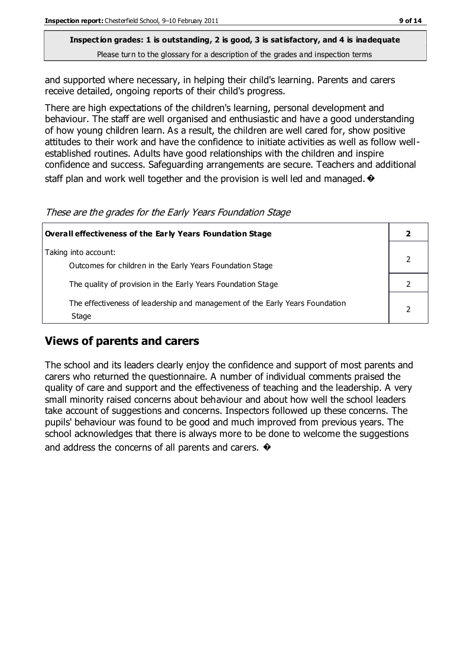and supported where necessary, in helping their child's learning. Parents and carers receive detailed, ongoing reports of their child's progress.

There are high expectations of the children's learning, personal development and behaviour. The staff are well organised and enthusiastic and have a good understanding of how young children learn. As a result, the children are well cared for, show positive attitudes to their work and have the confidence to initiate activities as well as follow wellestablished routines. Adults have good relationships with the children and inspire confidence and success. Safeguarding arrangements are secure. Teachers and additional staff plan and work well together and the provision is well led and managed.  $\bullet$ 

These are the grades for the Early Years Foundation Stage

| Overall effectiveness of the Early Years Foundation Stage                             |  |
|---------------------------------------------------------------------------------------|--|
| Taking into account:<br>Outcomes for children in the Early Years Foundation Stage     |  |
| The quality of provision in the Early Years Foundation Stage                          |  |
| The effectiveness of leadership and management of the Early Years Foundation<br>Stage |  |

## **Views of parents and carers**

The school and its leaders clearly enjoy the confidence and support of most parents and carers who returned the questionnaire. A number of individual comments praised the quality of care and support and the effectiveness of teaching and the leadership. A very small minority raised concerns about behaviour and about how well the school leaders take account of suggestions and concerns. Inspectors followed up these concerns. The pupils' behaviour was found to be good and much improved from previous years. The school acknowledges that there is always more to be done to welcome the suggestions and address the concerns of all parents and carers.  $\bullet$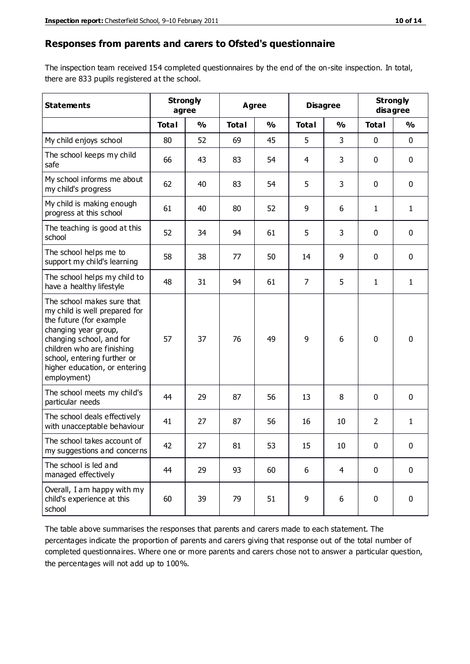#### **Responses from parents and carers to Ofsted's questionnaire**

The inspection team received 154 completed questionnaires by the end of the on-site inspection. In total, there are 833 pupils registered at the school.

| <b>Statements</b>                                                                                                                                                                                                                                       |              | <b>Strongly</b><br>Agree<br>agree |              | <b>Disagree</b> |                | <b>Strongly</b><br>disagree |                |               |
|---------------------------------------------------------------------------------------------------------------------------------------------------------------------------------------------------------------------------------------------------------|--------------|-----------------------------------|--------------|-----------------|----------------|-----------------------------|----------------|---------------|
|                                                                                                                                                                                                                                                         | <b>Total</b> | $\frac{0}{0}$                     | <b>Total</b> | $\frac{0}{0}$   | <b>Total</b>   | $\frac{0}{0}$               | <b>Total</b>   | $\frac{1}{2}$ |
| My child enjoys school                                                                                                                                                                                                                                  | 80           | 52                                | 69           | 45              | 5              | 3                           | $\mathbf 0$    | $\mathbf 0$   |
| The school keeps my child<br>safe                                                                                                                                                                                                                       | 66           | 43                                | 83           | 54              | 4              | 3                           | $\mathbf 0$    | $\mathbf 0$   |
| My school informs me about<br>my child's progress                                                                                                                                                                                                       | 62           | 40                                | 83           | 54              | 5              | 3                           | $\mathbf 0$    | $\mathbf 0$   |
| My child is making enough<br>progress at this school                                                                                                                                                                                                    | 61           | 40                                | 80           | 52              | 9              | 6                           | 1              | 1             |
| The teaching is good at this<br>school                                                                                                                                                                                                                  | 52           | 34                                | 94           | 61              | 5              | 3                           | $\mathbf 0$    | $\mathbf 0$   |
| The school helps me to<br>support my child's learning                                                                                                                                                                                                   | 58           | 38                                | 77           | 50              | 14             | 9                           | $\mathbf 0$    | $\mathbf 0$   |
| The school helps my child to<br>have a healthy lifestyle                                                                                                                                                                                                | 48           | 31                                | 94           | 61              | $\overline{7}$ | 5                           | 1              | $\mathbf{1}$  |
| The school makes sure that<br>my child is well prepared for<br>the future (for example<br>changing year group,<br>changing school, and for<br>children who are finishing<br>school, entering further or<br>higher education, or entering<br>employment) | 57           | 37                                | 76           | 49              | 9              | 6                           | $\mathbf 0$    | $\mathbf 0$   |
| The school meets my child's<br>particular needs                                                                                                                                                                                                         | 44           | 29                                | 87           | 56              | 13             | 8                           | $\mathbf{0}$   | $\mathbf 0$   |
| The school deals effectively<br>with unacceptable behaviour                                                                                                                                                                                             | 41           | 27                                | 87           | 56              | 16             | 10                          | $\overline{2}$ | $\mathbf{1}$  |
| The school takes account of<br>my suggestions and concerns                                                                                                                                                                                              | 42           | 27                                | 81           | 53              | 15             | 10                          | 0              | 0             |
| The school is led and<br>managed effectively                                                                                                                                                                                                            | 44           | 29                                | 93           | 60              | 6              | $\overline{4}$              | $\mathbf 0$    | $\mathbf 0$   |
| Overall, I am happy with my<br>child's experience at this<br>school                                                                                                                                                                                     | 60           | 39                                | 79           | 51              | 9              | 6                           | $\mathbf 0$    | $\mathbf 0$   |

The table above summarises the responses that parents and carers made to each statement. The percentages indicate the proportion of parents and carers giving that response out of the total number of completed questionnaires. Where one or more parents and carers chose not to answer a particular question, the percentages will not add up to 100%.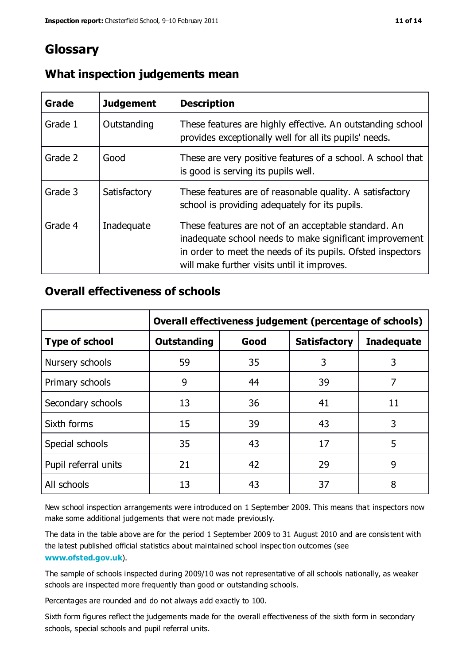# **Glossary**

| Grade   | <b>Judgement</b> | <b>Description</b>                                                                                                                                                                                                            |
|---------|------------------|-------------------------------------------------------------------------------------------------------------------------------------------------------------------------------------------------------------------------------|
| Grade 1 | Outstanding      | These features are highly effective. An outstanding school<br>provides exceptionally well for all its pupils' needs.                                                                                                          |
| Grade 2 | Good             | These are very positive features of a school. A school that<br>is good is serving its pupils well.                                                                                                                            |
| Grade 3 | Satisfactory     | These features are of reasonable quality. A satisfactory<br>school is providing adequately for its pupils.                                                                                                                    |
| Grade 4 | Inadequate       | These features are not of an acceptable standard. An<br>inadequate school needs to make significant improvement<br>in order to meet the needs of its pupils. Ofsted inspectors<br>will make further visits until it improves. |

#### **What inspection judgements mean**

## **Overall effectiveness of schools**

|                       | Overall effectiveness judgement (percentage of schools) |      |                     |                   |
|-----------------------|---------------------------------------------------------|------|---------------------|-------------------|
| <b>Type of school</b> | <b>Outstanding</b>                                      | Good | <b>Satisfactory</b> | <b>Inadequate</b> |
| Nursery schools       | 59                                                      | 35   | 3                   | 3                 |
| Primary schools       | 9                                                       | 44   | 39                  | 7                 |
| Secondary schools     | 13                                                      | 36   | 41                  | 11                |
| Sixth forms           | 15                                                      | 39   | 43                  | 3                 |
| Special schools       | 35                                                      | 43   | 17                  | 5                 |
| Pupil referral units  | 21                                                      | 42   | 29                  | 9                 |
| All schools           | 13                                                      | 43   | 37                  | 8                 |

New school inspection arrangements were introduced on 1 September 2009. This means that inspectors now make some additional judgements that were not made previously.

The data in the table above are for the period 1 September 2009 to 31 August 2010 and are consistent with the latest published official statistics about maintained school inspec tion outcomes (see **[www.ofsted.gov.uk](http://www.ofsted.gov.uk/)**).

The sample of schools inspected during 2009/10 was not representative of all schools nationally, as weaker schools are inspected more frequently than good or outstanding schools.

Percentages are rounded and do not always add exactly to 100.

Sixth form figures reflect the judgements made for the overall effectiveness of the sixth form in secondary schools, special schools and pupil referral units.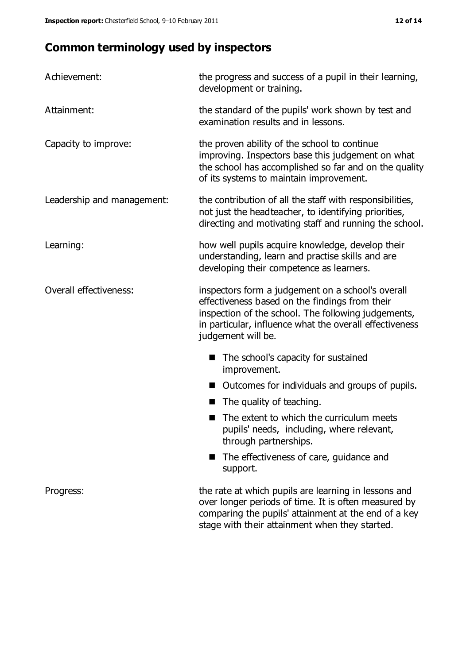# **Common terminology used by inspectors**

| Achievement:               | the progress and success of a pupil in their learning,<br>development or training.                                                                                                                                                          |  |  |
|----------------------------|---------------------------------------------------------------------------------------------------------------------------------------------------------------------------------------------------------------------------------------------|--|--|
| Attainment:                | the standard of the pupils' work shown by test and<br>examination results and in lessons.                                                                                                                                                   |  |  |
| Capacity to improve:       | the proven ability of the school to continue<br>improving. Inspectors base this judgement on what<br>the school has accomplished so far and on the quality<br>of its systems to maintain improvement.                                       |  |  |
| Leadership and management: | the contribution of all the staff with responsibilities,<br>not just the headteacher, to identifying priorities,<br>directing and motivating staff and running the school.                                                                  |  |  |
| Learning:                  | how well pupils acquire knowledge, develop their<br>understanding, learn and practise skills and are<br>developing their competence as learners.                                                                                            |  |  |
| Overall effectiveness:     | inspectors form a judgement on a school's overall<br>effectiveness based on the findings from their<br>inspection of the school. The following judgements,<br>in particular, influence what the overall effectiveness<br>judgement will be. |  |  |
|                            | The school's capacity for sustained<br>improvement.                                                                                                                                                                                         |  |  |
|                            | Outcomes for individuals and groups of pupils.                                                                                                                                                                                              |  |  |
|                            | The quality of teaching.                                                                                                                                                                                                                    |  |  |
|                            | The extent to which the curriculum meets<br>pupils' needs, including, where relevant,<br>through partnerships.                                                                                                                              |  |  |
|                            | The effectiveness of care, guidance and<br>support.                                                                                                                                                                                         |  |  |
| Progress:                  | the rate at which pupils are learning in lessons and<br>over longer periods of time. It is often measured by<br>comparing the pupils' attainment at the end of a key                                                                        |  |  |

stage with their attainment when they started.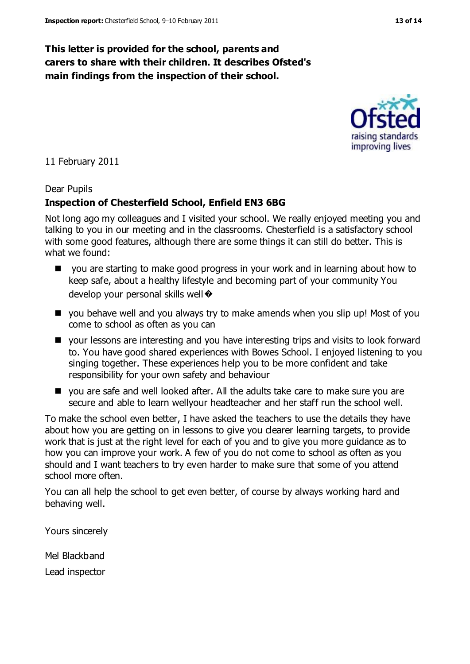## **This letter is provided for the school, parents and carers to share with their children. It describes Ofsted's main findings from the inspection of their school.**

11 February 2011

#### Dear Pupils

## **Inspection of Chesterfield School, Enfield EN3 6BG**

Not long ago my colleagues and I visited your school. We really enjoyed meeting you and talking to you in our meeting and in the classrooms. Chesterfield is a satisfactory school with some good features, although there are some things it can still do better. This is what we found:

- you are starting to make good progress in your work and in learning about how to keep safe, about a healthy lifestyle and becoming part of your community You develop your personal skills well  $\odot$
- you behave well and you always try to make amends when you slip up! Most of you come to school as often as you can
- your lessons are interesting and you have interesting trips and visits to look forward to. You have good shared experiences with Bowes School. I enjoyed listening to you singing together. These experiences help you to be more confident and take responsibility for your own safety and behaviour
- you are safe and well looked after. All the adults take care to make sure you are secure and able to learn wellyour headteacher and her staff run the school well.

To make the school even better, I have asked the teachers to use the details they have about how you are getting on in lessons to give you clearer learning targets, to provide work that is just at the right level for each of you and to give you more guidance as to how you can improve your work. A few of you do not come to school as often as you should and I want teachers to try even harder to make sure that some of you attend school more often.

You can all help the school to get even better, of course by always working hard and behaving well.

Yours sincerely

Mel Blackband

Lead inspector